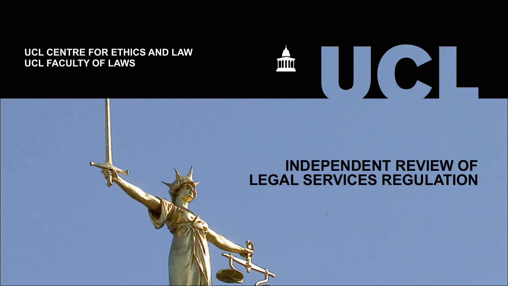#### **UCL CENTRE FOR ETHICS AND LAW UCL FACULTY OF LAWS**



UC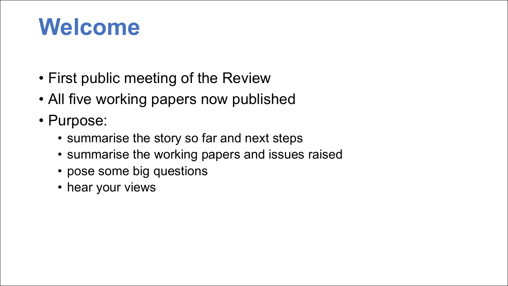#### **Welcome**

- First public meeting of the Review
- All five working papers now published
- Purpose:
	- summarise the story so far and next steps
	- summarise the working papers and issues raised
	- pose some big questions
	- hear your views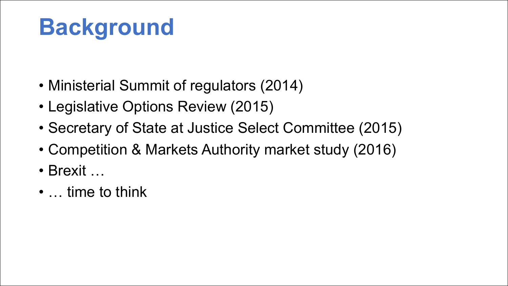### **Background**

- Ministerial Summit of regulators (2014)
- Legislative Options Review (2015)
- Secretary of State at Justice Select Committee (2015)
- Competition & Markets Authority market study (2016)
- Brexit …
- … time to think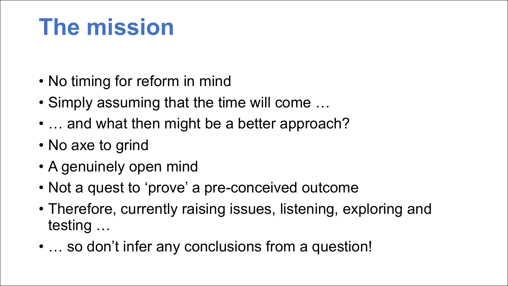#### **The mission**

- No timing for reform in mind
- Simply assuming that the time will come …
- ... and what then might be a better approach?
- No axe to grind
- A genuinely open mind
- Not a quest to 'prove' a pre-conceived outcome
- Therefore, currently raising issues, listening, exploring and testing …
- ... so don't infer any conclusions from a question!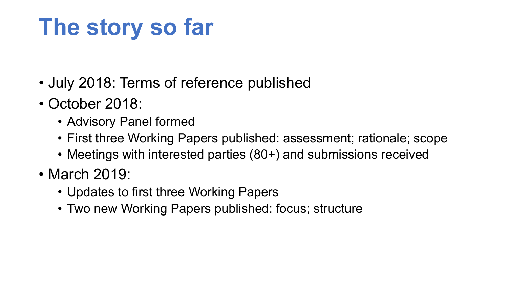#### **The story so far**

- July 2018: Terms of reference published
- October 2018:
	- Advisory Panel formed
	- First three Working Papers published: assessment; rationale; scope
	- Meetings with interested parties (80+) and submissions received
- March 2019:
	- Updates to first three Working Papers
	- Two new Working Papers published: focus; structure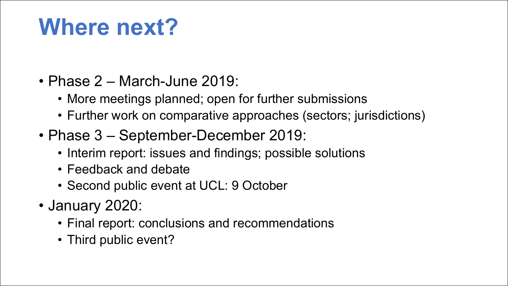#### **Where next?**

- Phase 2 March-June 2019:
	- More meetings planned; open for further submissions
	- Further work on comparative approaches (sectors; jurisdictions)
- Phase 3 September-December 2019:
	- Interim report: issues and findings; possible solutions
	- Feedback and debate
	- Second public event at UCL: 9 October
- January 2020:
	- Final report: conclusions and recommendations
	- Third public event?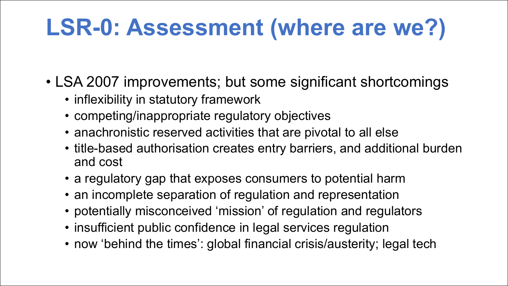### **LSR-0: Assessment (where are we?)**

- LSA 2007 improvements; but some significant shortcomings
	- inflexibility in statutory framework
	- competing/inappropriate regulatory objectives
	- anachronistic reserved activities that are pivotal to all else
	- title-based authorisation creates entry barriers, and additional burden and cost
	- a regulatory gap that exposes consumers to potential harm
	- an incomplete separation of regulation and representation
	- potentially misconceived 'mission' of regulation and regulators
	- insufficient public confidence in legal services regulation
	- now 'behind the times': global financial crisis/austerity; legal tech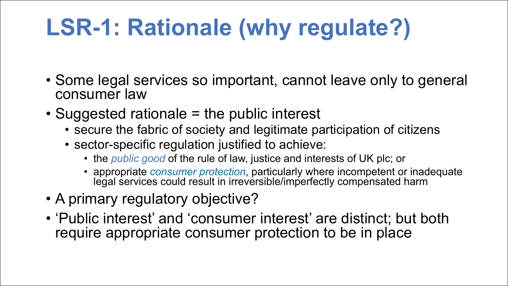# **LSR-1: Rationale (why regulate?)**

- Some legal services so important, cannot leave only to general consumer law
- Suggested rationale = the public interest
	- secure the fabric of society and legitimate participation of citizens
	- sector-specific regulation justified to achieve:
		- the *public good* of the rule of law, justice and interests of UK plc; or
		- appropriate *consumer protection*, particularly where incompetent or inadequate legal services could result in irreversible/imperfectly compensated harm
- A primary regulatory objective?
- 'Public interest' and 'consumer interest' are distinct; but both require appropriate consumer protection to be in place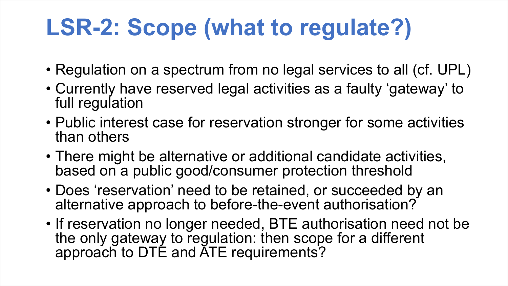### **LSR-2: Scope (what to regulate?)**

- Regulation on a spectrum from no legal services to all (cf. UPL)
- Currently have reserved legal activities as a faulty 'gateway' to full regulation
- Public interest case for reservation stronger for some activities than others
- There might be alternative or additional candidate activities, based on a public good/consumer protection threshold
- Does 'reservation' need to be retained, or succeeded by an alternative approach to before-the-event authorisation?
- If reservation no longer needed, BTE authorisation need not be the only gateway to regulation: then scope for a different approach to DTE and ATE requirements?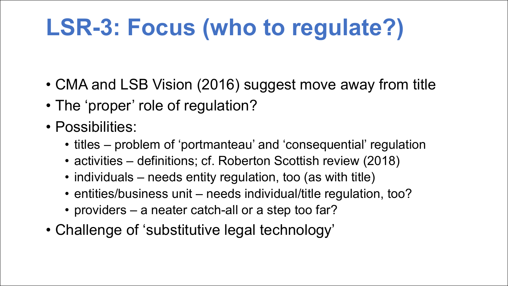# **LSR-3: Focus (who to regulate?)**

- CMA and LSB Vision (2016) suggest move away from title
- The 'proper' role of regulation?
- Possibilities:
	- titles problem of 'portmanteau' and 'consequential' regulation
	- activities definitions; cf. Roberton Scottish review (2018)
	- individuals needs entity regulation, too (as with title)
	- entities/business unit needs individual/title regulation, too?
	- providers a neater catch-all or a step too far?
- Challenge of 'substitutive legal technology'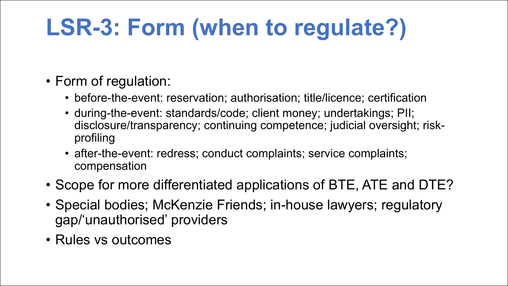# **LSR-3: Form (when to regulate?)**

- Form of regulation:
	- before-the-event: reservation; authorisation; title/licence; certification
	- during-the-event: standards/code; client money; undertakings; PII; disclosure/transparency; continuing competence; judicial oversight; riskprofiling
	- after-the-event: redress; conduct complaints; service complaints; compensation
- Scope for more differentiated applications of BTE, ATE and DTE?
- Special bodies; McKenzie Friends; in-house lawyers; regulatory gap/'unauthorised' providers
- Rules vs outcomes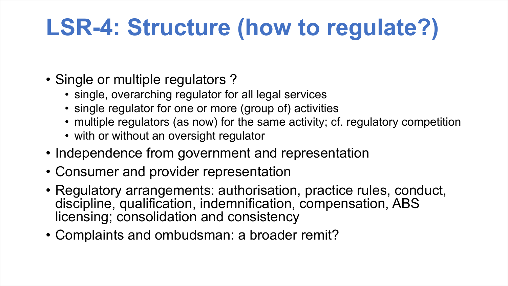# **LSR-4: Structure (how to regulate?)**

- Single or multiple regulators?
	- single, overarching regulator for all legal services
	- single regulator for one or more (group of) activities
	- multiple regulators (as now) for the same activity; cf. regulatory competition
	- with or without an oversight regulator
- Independence from government and representation
- Consumer and provider representation
- Regulatory arrangements: authorisation, practice rules, conduct, discipline, qualification, indemnification, compensation, ABS licensing; consolidation and consistency
- Complaints and ombudsman: a broader remit?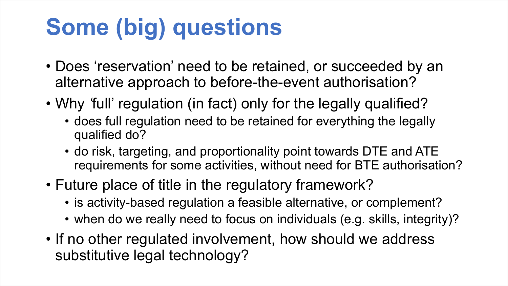# **Some (big) questions**

- Does 'reservation' need to be retained, or succeeded by an alternative approach to before-the-event authorisation?
- Why *'*full' regulation (in fact) only for the legally qualified?
	- does full regulation need to be retained for everything the legally qualified do?
	- do risk, targeting, and proportionality point towards DTE and ATE requirements for some activities, without need for BTE authorisation?
- Future place of title in the regulatory framework?
	- is activity-based regulation a feasible alternative, or complement?
	- when do we really need to focus on individuals (e.g. skills, integrity)?
- If no other regulated involvement, how should we address substitutive legal technology?